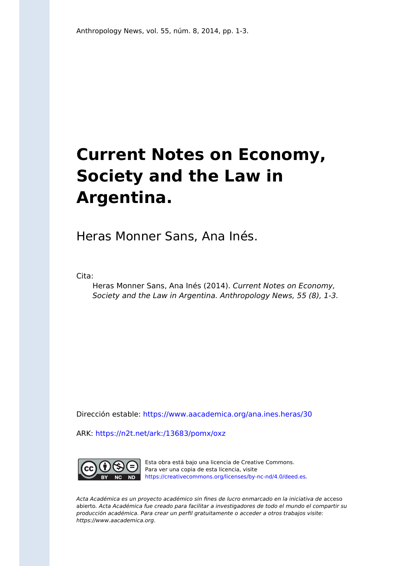## **Current Notes on Economy, Society and the Law in Argentina.**

Heras Monner Sans, Ana Inés.

Cita:

Heras Monner Sans, Ana Inés (2014). Current Notes on Economy, Society and the Law in Argentina. Anthropology News, 55 (8), 1-3.

Dirección estable:<https://www.aacademica.org/ana.ines.heras/30>

ARK: <https://n2t.net/ark:/13683/pomx/oxz>



Esta obra está bajo una licencia de Creative Commons. Para ver una copia de esta licencia, visite [https://creativecommons.org/licenses/by-nc-nd/4.0/deed.es.](https://creativecommons.org/licenses/by-nc-nd/4.0/deed.es)

Acta Académica es un proyecto académico sin fines de lucro enmarcado en la iniciativa de acceso abierto. Acta Académica fue creado para facilitar a investigadores de todo el mundo el compartir su producción académica. Para crear un perfil gratuitamente o acceder a otros trabajos visite: https://www.aacademica.org.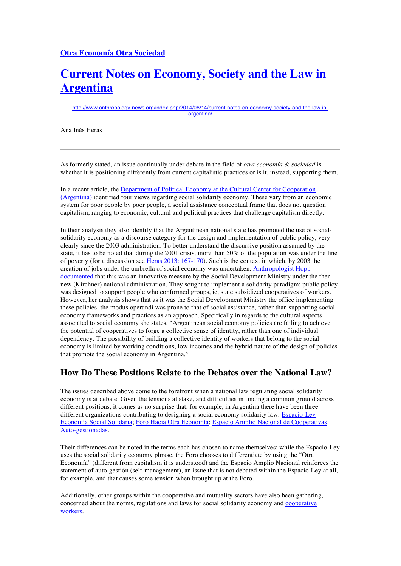## **Current Notes on Economy, Society and the Law in Argentina**

http://www.anthropology-news.org/index.php/2014/08/14/current-notes-on-economy-society-and-the-law-inargentina/

Ana Inés Heras

As formerly stated, an issue continually under debate in the field of *otra economía* & *sociedad* is whether it is positioning differently from current capitalistic practices or is it, instead, supporting them.

In a recent article, the Department of Political Economy at the Cultural Center for Cooperation (Argentina) identified four views regarding social solidarity economy. These vary from an economic system for poor people by poor people, a social assistance conceptual frame that does not question capitalism, ranging to economic, cultural and political practices that challenge capitalism directly.

In their analysis they also identify that the Argentinean national state has promoted the use of socialsolidarity economy as a discourse category for the design and implementation of public policy, very clearly since the 2003 administration. To better understand the discursive position assumed by the state, it has to be noted that during the 2001 crisis, more than 50% of the population was under the line of poverty (for a discussion see Heras 2013: 167-170). Such is the context in which, by 2003 the creation of jobs under the umbrella of social economy was undertaken. Anthropologist Hopp documented that this was an innovative measure by the Social Development Ministry under the then new (Kirchner) national administration. They sought to implement a solidarity paradigm: public policy was designed to support people who conformed groups, ie, state subsidized cooperatives of workers. However, her analysis shows that as it was the Social Development Ministry the office implementing these policies, the modus operandi was prone to that of social assistance, rather than supporting socialeconomy frameworks and practices as an approach. Specifically in regards to the cultural aspects associated to social economy she states, "Argentinean social economy policies are failing to achieve the potential of cooperatives to forge a collective sense of identity, rather than one of individual dependency. The possibility of building a collective identity of workers that belong to the social economy is limited by working conditions, low incomes and the hybrid nature of the design of policies that promote the social economy in Argentina."

## **How Do These Positions Relate to the Debates over the National Law?**

The issues described above come to the forefront when a national law regulating social solidarity economy is at debate. Given the tensions at stake, and difficulties in finding a common ground across different positions, it comes as no surprise that, for example, in Argentina there have been three different organizations contributing to designing a social economy solidarity law: Espacio-Ley Economía Social Solidaria; Foro Hacia Otra Economía; Espacio Amplio Nacional de Cooperativas Auto-gestionadas.

Their differences can be noted in the terms each has chosen to name themselves: while the Espacio-Ley uses the social solidarity economy phrase, the Foro chooses to differentiate by using the "Otra Economía" (different from capitalism it is understood) and the Espacio Amplio Nacional reinforces the statement of auto-gestión (self-management), an issue that is not debated within the Espacio-Ley at all, for example, and that causes some tension when brought up at the Foro.

Additionally, other groups within the cooperative and mutuality sectors have also been gathering, concerned about the norms, regulations and laws for social solidarity economy and cooperative workers.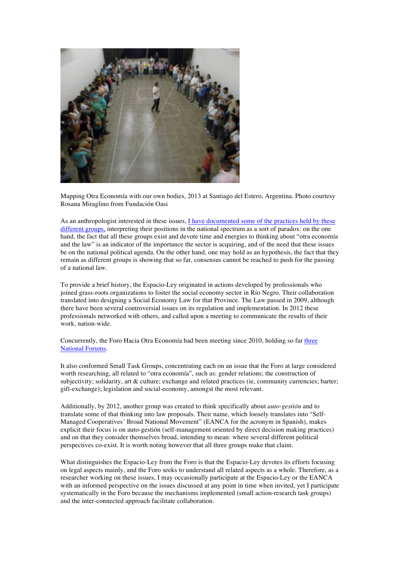

Mapping Otra Economía with our own bodies, 2013 at Santiago del Estero, Argentina. Photo courtesy Rosana Miraglino from Fundación Oasi

As an anthropologist interested in these issues, I have documented some of the practices held by these different groups, interpreting their positions in the national spectrum as a sort of paradox: on the one hand, the fact that all these groups exist and devote time and energies to thinking about "otra economía and the law" is an indicator of the importance the sector is acquiring, and of the need that these issues be on the national political agenda. On the other hand, one may hold as an hypothesis, the fact that they remain as different groups is showing that so far, consensus cannot be reached to push for the passing of a national law.

To provide a brief history, the Espacio-Ley originated in actions developed by professionals who joined grass-roots organizations to foster the social economy sector in Río Negro. Their collaboration translated into designing a Social Economy Law for that Province. The Law passed in 2009, although there have been several controversial issues on its regulation and implementation. In 2012 these professionals networked with others, and called upon a meeting to communicate the results of their work, nation-wide.

Concurrently, the Foro Hacia Otra Economía had been meeting since 2010, holding so far three National Forums.

It also conformed Small Task Groups, concentrating each on an issue that the Foro at large considered worth researching, all related to "otra economía", such as: gender relations; the construction of subjectivity; solidarity, art & culture; exchange and related practices (ie, community currencies; barter; gift-exchange); legislation and social-economy, amongst the most relevant.

Additionally, by 2012, another group was created to think specifically about *auto-gestión* and to translate some of that thinking into law proposals. Their name, which loosely translates into "Self-Managed Cooperatives´ Broad National Movement" (EANCA for the acronym in Spanish), makes explicit their focus is on auto-gestión (self-management oriented by direct decision making practices) and on that they consider themselves broad, intending to mean: where several different political perspectives co-exist. It is worth noting however that all three groups make that claim.

What distinguishes the Espacio-Ley from the Foro is that the Espacio-Ley devotes its efforts focusing on legal aspects mainly, and the Foro seeks to understand all related aspects as a whole. Therefore, as a researcher working on these issues, I may occasionally participate at the Espacio-Ley or the EANCA with an informed perspective on the issues discussed at any point in time when invited, yet I participate systematically in the Foro because the mechanisms implemented (small action-research task groups) and the inter-connected approach facilitate collaboration.